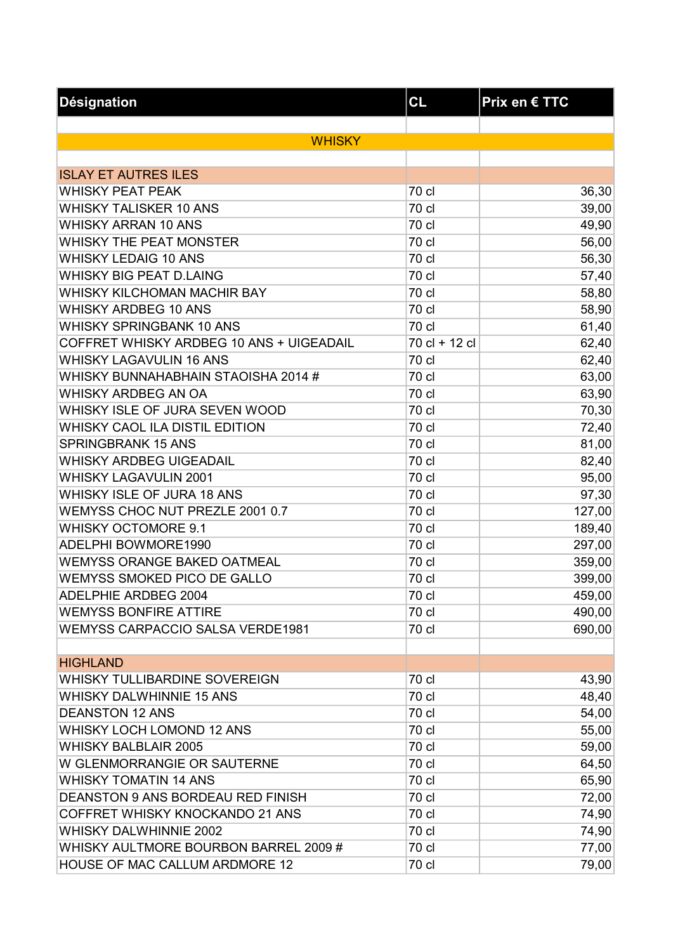| <b>Désignation</b>                       | CL            | Prix en € TTC |
|------------------------------------------|---------------|---------------|
|                                          |               |               |
| <b>WHISKY</b>                            |               |               |
|                                          |               |               |
| <b>ISLAY ET AUTRES ILES</b>              |               |               |
| <b>WHISKY PEAT PEAK</b>                  | 70 cl         | 36,30         |
| <b>WHISKY TALISKER 10 ANS</b>            | 70 cl         | 39,00         |
| <b>WHISKY ARRAN 10 ANS</b>               | 70 cl         | 49,90         |
| WHISKY THE PEAT MONSTER                  | 70 cl         | 56,00         |
| <b>WHISKY LEDAIG 10 ANS</b>              | 70 cl         | 56,30         |
| <b>WHISKY BIG PEAT D.LAING</b>           | 70 cl         | 57,40         |
| WHISKY KILCHOMAN MACHIR BAY              | 70 cl         | 58,80         |
| <b>WHISKY ARDBEG 10 ANS</b>              | 70 cl         | 58,90         |
| <b>WHISKY SPRINGBANK 10 ANS</b>          | 70 cl         | 61,40         |
| COFFRET WHISKY ARDBEG 10 ANS + UIGEADAIL | 70 cl + 12 cl | 62,40         |
| <b>WHISKY LAGAVULIN 16 ANS</b>           | 70 cl         | 62,40         |
| WHISKY BUNNAHABHAIN STAOISHA 2014 #      | 70 cl         | 63,00         |
| <b>WHISKY ARDBEG AN OA</b>               | 70 cl         | 63,90         |
| WHISKY ISLE OF JURA SEVEN WOOD           | 70 cl         | 70,30         |
| WHISKY CAOL ILA DISTIL EDITION           | 70 cl         | 72,40         |
| <b>SPRINGBRANK 15 ANS</b>                | 70 cl         | 81,00         |
| <b>WHISKY ARDBEG UIGEADAIL</b>           | 70 cl         | 82,40         |
| <b>WHISKY LAGAVULIN 2001</b>             | 70 cl         | 95,00         |
| WHISKY ISLE OF JURA 18 ANS               | 70 cl         | 97,30         |
| WEMYSS CHOC NUT PREZLE 2001 0.7          | 70 cl         | 127,00        |
| <b>WHISKY OCTOMORE 9.1</b>               | 70 cl         | 189,40        |
| ADELPHI BOWMORE1990                      | 70 cl         | 297,00        |
| <b>WEMYSS ORANGE BAKED OATMEAL</b>       | 70 cl         | 359,00        |
| <b>WEMYSS SMOKED PICO DE GALLO</b>       | 70 cl         | 399,00        |
| ADELPHIE ARDBEG 2004                     | 70 cl         | 459,00        |
| <b>WEMYSS BONFIRE ATTIRE</b>             | 70 cl         | 490,00        |
| <b>WEMYSS CARPACCIO SALSA VERDE1981</b>  | 70 cl         | 690,00        |
|                                          |               |               |
| <b>HIGHLAND</b>                          |               |               |
| WHISKY TULLIBARDINE SOVEREIGN            | 70 cl         | 43,90         |
| <b>WHISKY DALWHINNIE 15 ANS</b>          | 70 cl         | 48,40         |
| <b>DEANSTON 12 ANS</b>                   | 70 cl         | 54,00         |
| WHISKY LOCH LOMOND 12 ANS                | 70 cl         | 55,00         |
| <b>WHISKY BALBLAIR 2005</b>              | 70 cl         | 59,00         |
| W GLENMORRANGIE OR SAUTERNE              | 70 cl         | 64,50         |
| <b>WHISKY TOMATIN 14 ANS</b>             | 70 cl         | 65,90         |
| DEANSTON 9 ANS BORDEAU RED FINISH        | 70 cl         | 72,00         |
| COFFRET WHISKY KNOCKANDO 21 ANS          | 70 cl         | 74,90         |
| <b>WHISKY DALWHINNIE 2002</b>            | 70 cl         | 74,90         |
| WHISKY AULTMORE BOURBON BARREL 2009 #    | 70 cl         | 77,00         |
| HOUSE OF MAC CALLUM ARDMORE 12           | 70 cl         | 79,00         |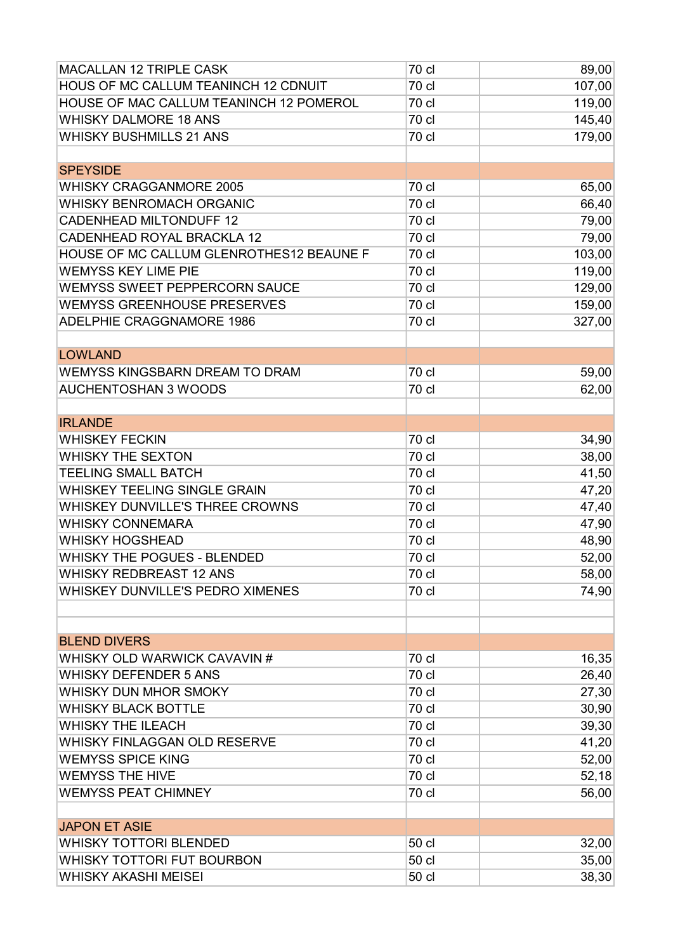| HOUS OF MC CALLUM TEANINCH 12 CDNUIT<br>107,00<br>70 cl<br>HOUSE OF MAC CALLUM TEANINCH 12 POMEROL<br>119,00<br>70 cl<br><b>WHISKY DALMORE 18 ANS</b><br>70 cl<br>145,40<br>179,00<br><b>WHISKY BUSHMILLS 21 ANS</b><br>70 cl<br><b>SPEYSIDE</b><br><b>WHISKY CRAGGANMORE 2005</b><br>70 cl<br>65,00<br>66,40<br><b>WHISKY BENROMACH ORGANIC</b><br>70 cl<br>70 cl<br>79,00<br><b>CADENHEAD MILTONDUFF 12</b><br><b>CADENHEAD ROYAL BRACKLA 12</b><br>79,00<br>70 cl<br>HOUSE OF MC CALLUM GLENROTHES12 BEAUNE F<br>70 cl<br>103,00<br><b>WEMYSS KEY LIME PIE</b><br>119,00<br>70 cl<br><b>WEMYSS SWEET PEPPERCORN SAUCE</b><br>70 cl<br>129,00<br>159,00<br><b>WEMYSS GREENHOUSE PRESERVES</b><br>70 cl<br>ADELPHIE CRAGGNAMORE 1986<br>70 cl<br>327,00<br><b>LOWLAND</b><br>70 cl<br>WEMYSS KINGSBARN DREAM TO DRAM<br>59,00<br><b>AUCHENTOSHAN 3 WOODS</b><br>70 cl<br>62,00<br><b>IRLANDE</b><br>70 cl<br><b>WHISKEY FECKIN</b><br>34,90<br><b>WHISKY THE SEXTON</b><br>70 cl<br>38,00<br><b>TEELING SMALL BATCH</b><br>70 cl<br>41,50<br>WHISKEY TEELING SINGLE GRAIN<br>70 cl<br>47,20<br>WHISKEY DUNVILLE'S THREE CROWNS<br>70 cl<br>47,40<br><b>WHISKY CONNEMARA</b><br>70 cl<br>47,90<br><b>WHISKY HOGSHEAD</b><br>70 cl<br>48,90<br>WHISKY THE POGUES - BLENDED<br>70 cl<br>52,00<br><b>WHISKY REDBREAST 12 ANS</b><br>70 cl<br>58,00<br>WHISKEY DUNVILLE'S PEDRO XIMENES<br>70 cl<br>74,90<br><b>BLEND DIVERS</b><br>16,35<br>WHISKY OLD WARWICK CAVAVIN #<br>70 cl<br>70 cl<br>26,40<br><b>WHISKY DEFENDER 5 ANS</b><br>WHISKY DUN MHOR SMOKY<br>27,30<br>70 cl<br><b>WHISKY BLACK BOTTLE</b><br>30,90<br>70 cl<br><b>WHISKY THE ILEACH</b><br>70 cl<br>39,30<br>41,20<br>70 cl<br>WHISKY FINLAGGAN OLD RESERVE<br><b>WEMYSS SPICE KING</b><br>70 cl<br>52,00<br><b>WEMYSS THE HIVE</b><br>70 cl<br>52,18<br><b>WEMYSS PEAT CHIMNEY</b><br>70 cl<br>56,00<br><b>JAPON ET ASIE</b><br><b>WHISKY TOTTORI BLENDED</b><br>50 cl<br>32,00<br>WHISKY TOTTORI FUT BOURBON<br>50 cl<br>35,00 | <b>MACALLAN 12 TRIPLE CASK</b> | 70 cl | 89,00 |
|--------------------------------------------------------------------------------------------------------------------------------------------------------------------------------------------------------------------------------------------------------------------------------------------------------------------------------------------------------------------------------------------------------------------------------------------------------------------------------------------------------------------------------------------------------------------------------------------------------------------------------------------------------------------------------------------------------------------------------------------------------------------------------------------------------------------------------------------------------------------------------------------------------------------------------------------------------------------------------------------------------------------------------------------------------------------------------------------------------------------------------------------------------------------------------------------------------------------------------------------------------------------------------------------------------------------------------------------------------------------------------------------------------------------------------------------------------------------------------------------------------------------------------------------------------------------------------------------------------------------------------------------------------------------------------------------------------------------------------------------------------------------------------------------------------------------------------------------------------------------------------------------------------------------------------------------------------------------------------------------------|--------------------------------|-------|-------|
|                                                                                                                                                                                                                                                                                                                                                                                                                                                                                                                                                                                                                                                                                                                                                                                                                                                                                                                                                                                                                                                                                                                                                                                                                                                                                                                                                                                                                                                                                                                                                                                                                                                                                                                                                                                                                                                                                                                                                                                                  |                                |       |       |
|                                                                                                                                                                                                                                                                                                                                                                                                                                                                                                                                                                                                                                                                                                                                                                                                                                                                                                                                                                                                                                                                                                                                                                                                                                                                                                                                                                                                                                                                                                                                                                                                                                                                                                                                                                                                                                                                                                                                                                                                  |                                |       |       |
|                                                                                                                                                                                                                                                                                                                                                                                                                                                                                                                                                                                                                                                                                                                                                                                                                                                                                                                                                                                                                                                                                                                                                                                                                                                                                                                                                                                                                                                                                                                                                                                                                                                                                                                                                                                                                                                                                                                                                                                                  |                                |       |       |
|                                                                                                                                                                                                                                                                                                                                                                                                                                                                                                                                                                                                                                                                                                                                                                                                                                                                                                                                                                                                                                                                                                                                                                                                                                                                                                                                                                                                                                                                                                                                                                                                                                                                                                                                                                                                                                                                                                                                                                                                  |                                |       |       |
|                                                                                                                                                                                                                                                                                                                                                                                                                                                                                                                                                                                                                                                                                                                                                                                                                                                                                                                                                                                                                                                                                                                                                                                                                                                                                                                                                                                                                                                                                                                                                                                                                                                                                                                                                                                                                                                                                                                                                                                                  |                                |       |       |
|                                                                                                                                                                                                                                                                                                                                                                                                                                                                                                                                                                                                                                                                                                                                                                                                                                                                                                                                                                                                                                                                                                                                                                                                                                                                                                                                                                                                                                                                                                                                                                                                                                                                                                                                                                                                                                                                                                                                                                                                  |                                |       |       |
|                                                                                                                                                                                                                                                                                                                                                                                                                                                                                                                                                                                                                                                                                                                                                                                                                                                                                                                                                                                                                                                                                                                                                                                                                                                                                                                                                                                                                                                                                                                                                                                                                                                                                                                                                                                                                                                                                                                                                                                                  |                                |       |       |
|                                                                                                                                                                                                                                                                                                                                                                                                                                                                                                                                                                                                                                                                                                                                                                                                                                                                                                                                                                                                                                                                                                                                                                                                                                                                                                                                                                                                                                                                                                                                                                                                                                                                                                                                                                                                                                                                                                                                                                                                  |                                |       |       |
|                                                                                                                                                                                                                                                                                                                                                                                                                                                                                                                                                                                                                                                                                                                                                                                                                                                                                                                                                                                                                                                                                                                                                                                                                                                                                                                                                                                                                                                                                                                                                                                                                                                                                                                                                                                                                                                                                                                                                                                                  |                                |       |       |
|                                                                                                                                                                                                                                                                                                                                                                                                                                                                                                                                                                                                                                                                                                                                                                                                                                                                                                                                                                                                                                                                                                                                                                                                                                                                                                                                                                                                                                                                                                                                                                                                                                                                                                                                                                                                                                                                                                                                                                                                  |                                |       |       |
|                                                                                                                                                                                                                                                                                                                                                                                                                                                                                                                                                                                                                                                                                                                                                                                                                                                                                                                                                                                                                                                                                                                                                                                                                                                                                                                                                                                                                                                                                                                                                                                                                                                                                                                                                                                                                                                                                                                                                                                                  |                                |       |       |
|                                                                                                                                                                                                                                                                                                                                                                                                                                                                                                                                                                                                                                                                                                                                                                                                                                                                                                                                                                                                                                                                                                                                                                                                                                                                                                                                                                                                                                                                                                                                                                                                                                                                                                                                                                                                                                                                                                                                                                                                  |                                |       |       |
|                                                                                                                                                                                                                                                                                                                                                                                                                                                                                                                                                                                                                                                                                                                                                                                                                                                                                                                                                                                                                                                                                                                                                                                                                                                                                                                                                                                                                                                                                                                                                                                                                                                                                                                                                                                                                                                                                                                                                                                                  |                                |       |       |
|                                                                                                                                                                                                                                                                                                                                                                                                                                                                                                                                                                                                                                                                                                                                                                                                                                                                                                                                                                                                                                                                                                                                                                                                                                                                                                                                                                                                                                                                                                                                                                                                                                                                                                                                                                                                                                                                                                                                                                                                  |                                |       |       |
|                                                                                                                                                                                                                                                                                                                                                                                                                                                                                                                                                                                                                                                                                                                                                                                                                                                                                                                                                                                                                                                                                                                                                                                                                                                                                                                                                                                                                                                                                                                                                                                                                                                                                                                                                                                                                                                                                                                                                                                                  |                                |       |       |
|                                                                                                                                                                                                                                                                                                                                                                                                                                                                                                                                                                                                                                                                                                                                                                                                                                                                                                                                                                                                                                                                                                                                                                                                                                                                                                                                                                                                                                                                                                                                                                                                                                                                                                                                                                                                                                                                                                                                                                                                  |                                |       |       |
|                                                                                                                                                                                                                                                                                                                                                                                                                                                                                                                                                                                                                                                                                                                                                                                                                                                                                                                                                                                                                                                                                                                                                                                                                                                                                                                                                                                                                                                                                                                                                                                                                                                                                                                                                                                                                                                                                                                                                                                                  |                                |       |       |
|                                                                                                                                                                                                                                                                                                                                                                                                                                                                                                                                                                                                                                                                                                                                                                                                                                                                                                                                                                                                                                                                                                                                                                                                                                                                                                                                                                                                                                                                                                                                                                                                                                                                                                                                                                                                                                                                                                                                                                                                  |                                |       |       |
|                                                                                                                                                                                                                                                                                                                                                                                                                                                                                                                                                                                                                                                                                                                                                                                                                                                                                                                                                                                                                                                                                                                                                                                                                                                                                                                                                                                                                                                                                                                                                                                                                                                                                                                                                                                                                                                                                                                                                                                                  |                                |       |       |
|                                                                                                                                                                                                                                                                                                                                                                                                                                                                                                                                                                                                                                                                                                                                                                                                                                                                                                                                                                                                                                                                                                                                                                                                                                                                                                                                                                                                                                                                                                                                                                                                                                                                                                                                                                                                                                                                                                                                                                                                  |                                |       |       |
|                                                                                                                                                                                                                                                                                                                                                                                                                                                                                                                                                                                                                                                                                                                                                                                                                                                                                                                                                                                                                                                                                                                                                                                                                                                                                                                                                                                                                                                                                                                                                                                                                                                                                                                                                                                                                                                                                                                                                                                                  |                                |       |       |
|                                                                                                                                                                                                                                                                                                                                                                                                                                                                                                                                                                                                                                                                                                                                                                                                                                                                                                                                                                                                                                                                                                                                                                                                                                                                                                                                                                                                                                                                                                                                                                                                                                                                                                                                                                                                                                                                                                                                                                                                  |                                |       |       |
|                                                                                                                                                                                                                                                                                                                                                                                                                                                                                                                                                                                                                                                                                                                                                                                                                                                                                                                                                                                                                                                                                                                                                                                                                                                                                                                                                                                                                                                                                                                                                                                                                                                                                                                                                                                                                                                                                                                                                                                                  |                                |       |       |
|                                                                                                                                                                                                                                                                                                                                                                                                                                                                                                                                                                                                                                                                                                                                                                                                                                                                                                                                                                                                                                                                                                                                                                                                                                                                                                                                                                                                                                                                                                                                                                                                                                                                                                                                                                                                                                                                                                                                                                                                  |                                |       |       |
|                                                                                                                                                                                                                                                                                                                                                                                                                                                                                                                                                                                                                                                                                                                                                                                                                                                                                                                                                                                                                                                                                                                                                                                                                                                                                                                                                                                                                                                                                                                                                                                                                                                                                                                                                                                                                                                                                                                                                                                                  |                                |       |       |
|                                                                                                                                                                                                                                                                                                                                                                                                                                                                                                                                                                                                                                                                                                                                                                                                                                                                                                                                                                                                                                                                                                                                                                                                                                                                                                                                                                                                                                                                                                                                                                                                                                                                                                                                                                                                                                                                                                                                                                                                  |                                |       |       |
|                                                                                                                                                                                                                                                                                                                                                                                                                                                                                                                                                                                                                                                                                                                                                                                                                                                                                                                                                                                                                                                                                                                                                                                                                                                                                                                                                                                                                                                                                                                                                                                                                                                                                                                                                                                                                                                                                                                                                                                                  |                                |       |       |
|                                                                                                                                                                                                                                                                                                                                                                                                                                                                                                                                                                                                                                                                                                                                                                                                                                                                                                                                                                                                                                                                                                                                                                                                                                                                                                                                                                                                                                                                                                                                                                                                                                                                                                                                                                                                                                                                                                                                                                                                  |                                |       |       |
|                                                                                                                                                                                                                                                                                                                                                                                                                                                                                                                                                                                                                                                                                                                                                                                                                                                                                                                                                                                                                                                                                                                                                                                                                                                                                                                                                                                                                                                                                                                                                                                                                                                                                                                                                                                                                                                                                                                                                                                                  |                                |       |       |
|                                                                                                                                                                                                                                                                                                                                                                                                                                                                                                                                                                                                                                                                                                                                                                                                                                                                                                                                                                                                                                                                                                                                                                                                                                                                                                                                                                                                                                                                                                                                                                                                                                                                                                                                                                                                                                                                                                                                                                                                  |                                |       |       |
|                                                                                                                                                                                                                                                                                                                                                                                                                                                                                                                                                                                                                                                                                                                                                                                                                                                                                                                                                                                                                                                                                                                                                                                                                                                                                                                                                                                                                                                                                                                                                                                                                                                                                                                                                                                                                                                                                                                                                                                                  |                                |       |       |
|                                                                                                                                                                                                                                                                                                                                                                                                                                                                                                                                                                                                                                                                                                                                                                                                                                                                                                                                                                                                                                                                                                                                                                                                                                                                                                                                                                                                                                                                                                                                                                                                                                                                                                                                                                                                                                                                                                                                                                                                  |                                |       |       |
|                                                                                                                                                                                                                                                                                                                                                                                                                                                                                                                                                                                                                                                                                                                                                                                                                                                                                                                                                                                                                                                                                                                                                                                                                                                                                                                                                                                                                                                                                                                                                                                                                                                                                                                                                                                                                                                                                                                                                                                                  |                                |       |       |
|                                                                                                                                                                                                                                                                                                                                                                                                                                                                                                                                                                                                                                                                                                                                                                                                                                                                                                                                                                                                                                                                                                                                                                                                                                                                                                                                                                                                                                                                                                                                                                                                                                                                                                                                                                                                                                                                                                                                                                                                  |                                |       |       |
|                                                                                                                                                                                                                                                                                                                                                                                                                                                                                                                                                                                                                                                                                                                                                                                                                                                                                                                                                                                                                                                                                                                                                                                                                                                                                                                                                                                                                                                                                                                                                                                                                                                                                                                                                                                                                                                                                                                                                                                                  |                                |       |       |
|                                                                                                                                                                                                                                                                                                                                                                                                                                                                                                                                                                                                                                                                                                                                                                                                                                                                                                                                                                                                                                                                                                                                                                                                                                                                                                                                                                                                                                                                                                                                                                                                                                                                                                                                                                                                                                                                                                                                                                                                  |                                |       |       |
|                                                                                                                                                                                                                                                                                                                                                                                                                                                                                                                                                                                                                                                                                                                                                                                                                                                                                                                                                                                                                                                                                                                                                                                                                                                                                                                                                                                                                                                                                                                                                                                                                                                                                                                                                                                                                                                                                                                                                                                                  |                                |       |       |
|                                                                                                                                                                                                                                                                                                                                                                                                                                                                                                                                                                                                                                                                                                                                                                                                                                                                                                                                                                                                                                                                                                                                                                                                                                                                                                                                                                                                                                                                                                                                                                                                                                                                                                                                                                                                                                                                                                                                                                                                  |                                |       |       |
|                                                                                                                                                                                                                                                                                                                                                                                                                                                                                                                                                                                                                                                                                                                                                                                                                                                                                                                                                                                                                                                                                                                                                                                                                                                                                                                                                                                                                                                                                                                                                                                                                                                                                                                                                                                                                                                                                                                                                                                                  |                                |       |       |
|                                                                                                                                                                                                                                                                                                                                                                                                                                                                                                                                                                                                                                                                                                                                                                                                                                                                                                                                                                                                                                                                                                                                                                                                                                                                                                                                                                                                                                                                                                                                                                                                                                                                                                                                                                                                                                                                                                                                                                                                  |                                |       |       |
|                                                                                                                                                                                                                                                                                                                                                                                                                                                                                                                                                                                                                                                                                                                                                                                                                                                                                                                                                                                                                                                                                                                                                                                                                                                                                                                                                                                                                                                                                                                                                                                                                                                                                                                                                                                                                                                                                                                                                                                                  |                                |       |       |
|                                                                                                                                                                                                                                                                                                                                                                                                                                                                                                                                                                                                                                                                                                                                                                                                                                                                                                                                                                                                                                                                                                                                                                                                                                                                                                                                                                                                                                                                                                                                                                                                                                                                                                                                                                                                                                                                                                                                                                                                  |                                |       |       |
|                                                                                                                                                                                                                                                                                                                                                                                                                                                                                                                                                                                                                                                                                                                                                                                                                                                                                                                                                                                                                                                                                                                                                                                                                                                                                                                                                                                                                                                                                                                                                                                                                                                                                                                                                                                                                                                                                                                                                                                                  |                                |       |       |
|                                                                                                                                                                                                                                                                                                                                                                                                                                                                                                                                                                                                                                                                                                                                                                                                                                                                                                                                                                                                                                                                                                                                                                                                                                                                                                                                                                                                                                                                                                                                                                                                                                                                                                                                                                                                                                                                                                                                                                                                  |                                |       |       |
|                                                                                                                                                                                                                                                                                                                                                                                                                                                                                                                                                                                                                                                                                                                                                                                                                                                                                                                                                                                                                                                                                                                                                                                                                                                                                                                                                                                                                                                                                                                                                                                                                                                                                                                                                                                                                                                                                                                                                                                                  |                                |       |       |
|                                                                                                                                                                                                                                                                                                                                                                                                                                                                                                                                                                                                                                                                                                                                                                                                                                                                                                                                                                                                                                                                                                                                                                                                                                                                                                                                                                                                                                                                                                                                                                                                                                                                                                                                                                                                                                                                                                                                                                                                  |                                |       |       |
|                                                                                                                                                                                                                                                                                                                                                                                                                                                                                                                                                                                                                                                                                                                                                                                                                                                                                                                                                                                                                                                                                                                                                                                                                                                                                                                                                                                                                                                                                                                                                                                                                                                                                                                                                                                                                                                                                                                                                                                                  | <b>WHISKY AKASHI MEISEI</b>    | 50 cl | 38,30 |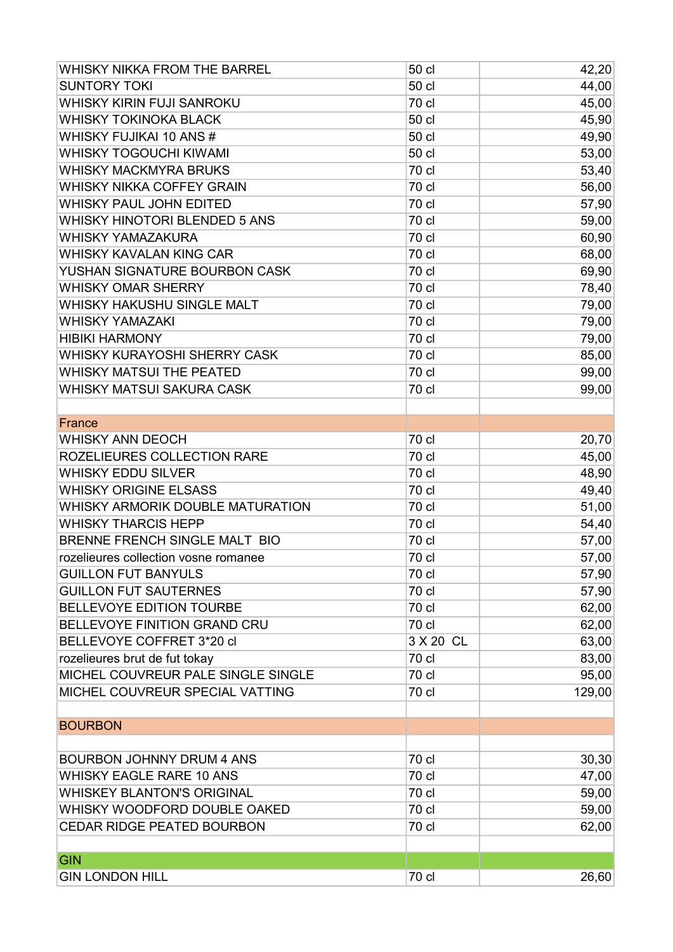| WHISKY NIKKA FROM THE BARREL         | 50 cl     | 42,20  |
|--------------------------------------|-----------|--------|
| <b>SUNTORY TOKI</b>                  | 50 cl     | 44,00  |
| WHISKY KIRIN FUJI SANROKU            | 70 cl     | 45,00  |
| <b>WHISKY TOKINOKA BLACK</b>         | 50 cl     | 45,90  |
| WHISKY FUJIKAI 10 ANS #              | 50 cl     | 49,90  |
| <b>WHISKY TOGOUCHI KIWAMI</b>        | 50 cl     | 53,00  |
| <b>WHISKY MACKMYRA BRUKS</b>         | 70 cl     | 53,40  |
| WHISKY NIKKA COFFEY GRAIN            | 70 cl     | 56,00  |
| <b>WHISKY PAUL JOHN EDITED</b>       | 70 cl     | 57,90  |
| WHISKY HINOTORI BLENDED 5 ANS        | 70 cl     | 59,00  |
| <b>WHISKY YAMAZAKURA</b>             | 70 cl     | 60,90  |
| <b>WHISKY KAVALAN KING CAR</b>       | 70 cl     | 68,00  |
| YUSHAN SIGNATURE BOURBON CASK        | 70 cl     | 69,90  |
| <b>WHISKY OMAR SHERRY</b>            | 70 cl     | 78,40  |
| WHISKY HAKUSHU SINGLE MALT           | 70 cl     | 79,00  |
| <b>WHISKY YAMAZAKI</b>               | 70 cl     | 79,00  |
| <b>HIBIKI HARMONY</b>                | 70 cl     | 79,00  |
| WHISKY KURAYOSHI SHERRY CASK         | 70 cl     | 85,00  |
| <b>WHISKY MATSUI THE PEATED</b>      | 70 cl     | 99,00  |
| WHISKY MATSUI SAKURA CASK            | 70 cl     | 99,00  |
|                                      |           |        |
| France                               |           |        |
| <b>WHISKY ANN DEOCH</b>              | 70 cl     | 20,70  |
| ROZELIEURES COLLECTION RARE          | 70 cl     | 45,00  |
| <b>WHISKY EDDU SILVER</b>            | 70 cl     | 48,90  |
| <b>WHISKY ORIGINE ELSASS</b>         | 70 cl     | 49,40  |
| WHISKY ARMORIK DOUBLE MATURATION     | 70 cl     | 51,00  |
| <b>WHISKY THARCIS HEPP</b>           | 70 cl     | 54,40  |
| BRENNE FRENCH SINGLE MALT BIO        | 70 cl     | 57,00  |
| rozelieures collection vosne romanee | 70 cl     | 57,00  |
| <b>GUILLON FUT BANYULS</b>           | 70 cl     | 57,90  |
| <b>GUILLON FUT SAUTERNES</b>         | 70 cl     | 57,90  |
| <b>BELLEVOYE EDITION TOURBE</b>      | 70 cl     | 62,00  |
| <b>BELLEVOYE FINITION GRAND CRU</b>  | 70 cl     | 62,00  |
| BELLEVOYE COFFRET 3*20 cl            | 3 X 20 CL | 63,00  |
| rozelieures brut de fut tokay        | 70 cl     | 83,00  |
| MICHEL COUVREUR PALE SINGLE SINGLE   | 70 cl     | 95,00  |
| MICHEL COUVREUR SPECIAL VATTING      | 70 cl     | 129,00 |
| <b>BOURBON</b>                       |           |        |
|                                      |           |        |
| <b>BOURBON JOHNNY DRUM 4 ANS</b>     | 70 cl     | 30,30  |
| <b>WHISKY EAGLE RARE 10 ANS</b>      | 70 cl     | 47,00  |
| <b>WHISKEY BLANTON'S ORIGINAL</b>    | 70 cl     | 59,00  |
| WHISKY WOODFORD DOUBLE OAKED         | 70 cl     | 59,00  |
| <b>CEDAR RIDGE PEATED BOURBON</b>    | 70 cl     | 62,00  |
| <b>GIN</b>                           |           |        |
| <b>GIN LONDON HILL</b>               | 70 cl     | 26,60  |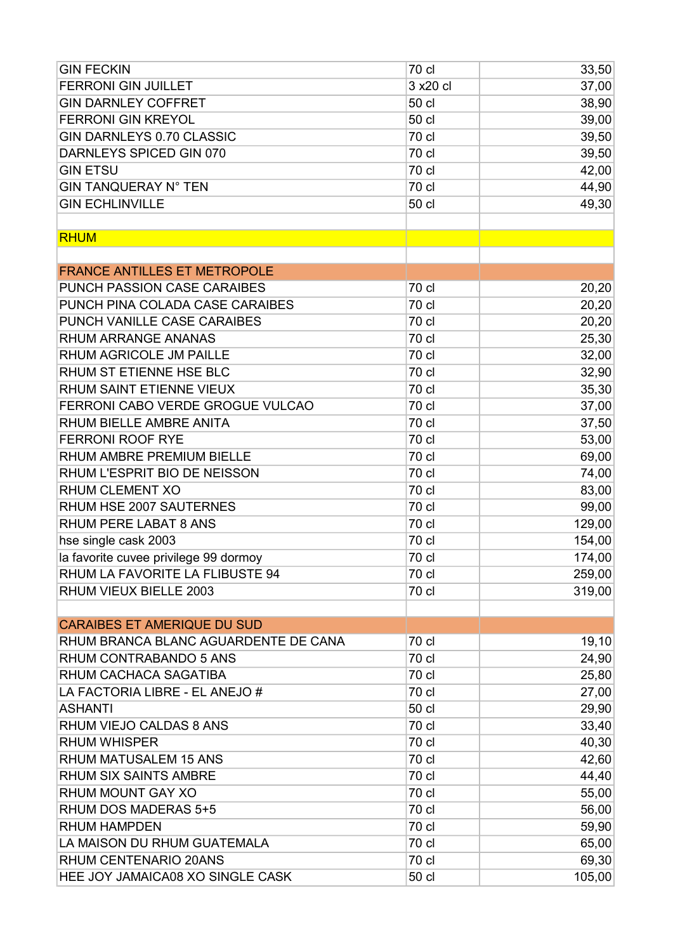| <b>GIN FECKIN</b>                     | 70 cl     | 33,50  |
|---------------------------------------|-----------|--------|
| <b>FERRONI GIN JUILLET</b>            | 3 x 20 cl | 37,00  |
| <b>GIN DARNLEY COFFRET</b>            | 50 cl     | 38,90  |
| <b>FERRONI GIN KREYOL</b>             | 50 cl     | 39,00  |
| <b>GIN DARNLEYS 0.70 CLASSIC</b>      | 70 cl     | 39,50  |
| DARNLEYS SPICED GIN 070               | 70 cl     | 39,50  |
| <b>GIN ETSU</b>                       | 70 cl     | 42,00  |
| <b>GIN TANQUERAY N° TEN</b>           | 70 cl     | 44,90  |
| <b>GIN ECHLINVILLE</b>                | 50 cl     | 49,30  |
|                                       |           |        |
| <b>RHUM</b>                           |           |        |
|                                       |           |        |
| <b>FRANCE ANTILLES ET METROPOLE</b>   |           |        |
| PUNCH PASSION CASE CARAIBES           | 70 cl     | 20,20  |
| PUNCH PINA COLADA CASE CARAIBES       | 70 cl     | 20,20  |
| PUNCH VANILLE CASE CARAIBES           | 70 cl     | 20,20  |
| <b>RHUM ARRANGE ANANAS</b>            | 70 cl     | 25,30  |
| RHUM AGRICOLE JM PAILLE               | 70 cl     | 32,00  |
| RHUM ST ETIENNE HSE BLC               | 70 cl     | 32,90  |
| RHUM SAINT ETIENNE VIEUX              | 70 cl     | 35,30  |
| FERRONI CABO VERDE GROGUE VULCAO      | 70 cl     | 37,00  |
| RHUM BIELLE AMBRE ANITA               | 70 cl     | 37,50  |
| <b>FERRONI ROOF RYE</b>               | 70 cl     | 53,00  |
| RHUM AMBRE PREMIUM BIELLE             | 70 cl     | 69,00  |
| RHUM L'ESPRIT BIO DE NEISSON          | 70 cl     | 74,00  |
| RHUM CLEMENT XO                       | 70 cl     | 83,00  |
| RHUM HSE 2007 SAUTERNES               | 70 cl     | 99,00  |
| RHUM PERE LABAT 8 ANS                 | 70 cl     | 129,00 |
| hse single cask 2003                  | 70 cl     | 154,00 |
| la favorite cuvee privilege 99 dormoy | 70 cl     | 174,00 |
| RHUM LA FAVORITE LA FLIBUSTE 94       | 70 cl     | 259,00 |
| RHUM VIEUX BIELLE 2003                | 70 cl     | 319,00 |
|                                       |           |        |
| <b>CARAIBES ET AMERIQUE DU SUD</b>    |           |        |
| RHUM BRANCA BLANC AGUARDENTE DE CANA  | 70 cl     | 19,10  |
| RHUM CONTRABANDO 5 ANS                | 70 cl     | 24,90  |
| RHUM CACHACA SAGATIBA                 | 70 cl     | 25,80  |
| LA FACTORIA LIBRE - EL ANEJO #        | 70 cl     | 27,00  |
| <b>ASHANTI</b>                        | 50 cl     | 29,90  |
| RHUM VIEJO CALDAS 8 ANS               | 70 cl     | 33,40  |
| <b>RHUM WHISPER</b>                   | 70 cl     | 40,30  |
| <b>RHUM MATUSALEM 15 ANS</b>          | 70 cl     | 42,60  |
| RHUM SIX SAINTS AMBRE                 | 70 cl     | 44,40  |
| RHUM MOUNT GAY XO                     | 70 cl     | 55,00  |
| RHUM DOS MADERAS 5+5                  | 70 cl     | 56,00  |
| <b>RHUM HAMPDEN</b>                   | 70 cl     | 59,90  |
| LA MAISON DU RHUM GUATEMALA           | 70 cl     | 65,00  |
| RHUM CENTENARIO 20ANS                 | 70 cl     | 69,30  |
| HEE JOY JAMAICA08 XO SINGLE CASK      | 50 cl     | 105,00 |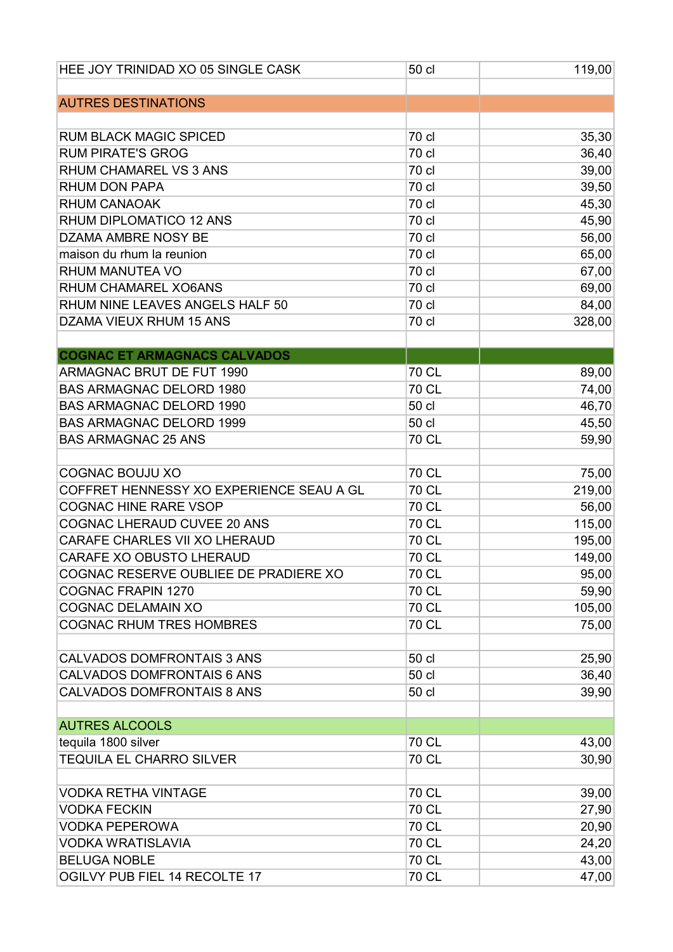| HEE JOY TRINIDAD XO 05 SINGLE CASK       | 50 cl        | 119,00 |
|------------------------------------------|--------------|--------|
|                                          |              |        |
| <b>AUTRES DESTINATIONS</b>               |              |        |
| <b>RUM BLACK MAGIC SPICED</b>            | 70 cl        | 35,30  |
| <b>RUM PIRATE'S GROG</b>                 | 70 cl        | 36,40  |
| RHUM CHAMAREL VS 3 ANS                   | 70 cl        | 39,00  |
| RHUM DON PAPA                            | 70 cl        | 39,50  |
| <b>RHUM CANAOAK</b>                      | 70 cl        | 45,30  |
| RHUM DIPLOMATICO 12 ANS                  | 70 cl        | 45,90  |
| DZAMA AMBRE NOSY BE                      | 70 cl        | 56,00  |
| maison du rhum la reunion                | 70 cl        | 65,00  |
| <b>RHUM MANUTEA VO</b>                   | 70 cl        | 67,00  |
| RHUM CHAMAREL XO6ANS                     | 70 cl        | 69,00  |
| RHUM NINE LEAVES ANGELS HALF 50          | 70 cl        | 84,00  |
| DZAMA VIEUX RHUM 15 ANS                  | 70 cl        | 328,00 |
|                                          |              |        |
| <b>COGNAC ET ARMAGNACS CALVADOS</b>      |              |        |
| ARMAGNAC BRUT DE FUT 1990                | <b>70 CL</b> | 89,00  |
| <b>BAS ARMAGNAC DELORD 1980</b>          | <b>70 CL</b> | 74,00  |
| <b>BAS ARMAGNAC DELORD 1990</b>          | 50 cl        | 46,70  |
| <b>BAS ARMAGNAC DELORD 1999</b>          | 50 cl        | 45,50  |
| <b>BAS ARMAGNAC 25 ANS</b>               | 70 CL        | 59,90  |
| <b>COGNAC BOUJU XO</b>                   | <b>70 CL</b> | 75,00  |
| COFFRET HENNESSY XO EXPERIENCE SEAU A GL | <b>70 CL</b> | 219,00 |
| <b>COGNAC HINE RARE VSOP</b>             | 70 CL        | 56,00  |
| COGNAC LHERAUD CUVEE 20 ANS              | 70 CL        | 115,00 |
| CARAFE CHARLES VII XO LHERAUD            | <b>70 CL</b> | 195,00 |
| CARAFE XO OBUSTO LHERAUD                 | <b>70 CL</b> | 149,00 |
| COGNAC RESERVE OUBLIEE DE PRADIERE XO    | 70 CL        | 95,00  |
| <b>COGNAC FRAPIN 1270</b>                | 70 CL        | 59,90  |
| <b>COGNAC DELAMAIN XO</b>                | 70 CL        | 105,00 |
| <b>COGNAC RHUM TRES HOMBRES</b>          | 70 CL        | 75,00  |
|                                          |              |        |
| <b>CALVADOS DOMFRONTAIS 3 ANS</b>        | 50 cl        | 25,90  |
| CALVADOS DOMFRONTAIS 6 ANS               | 50 cl        | 36,40  |
| <b>CALVADOS DOMFRONTAIS 8 ANS</b>        | 50 cl        | 39,90  |
| <b>AUTRES ALCOOLS</b>                    |              |        |
| tequila 1800 silver                      | 70 CL        | 43,00  |
| <b>TEQUILA EL CHARRO SILVER</b>          | 70 CL        | 30,90  |
|                                          |              |        |
| <b>VODKA RETHA VINTAGE</b>               | <b>70 CL</b> | 39,00  |
| <b>VODKA FECKIN</b>                      | <b>70 CL</b> | 27,90  |
| <b>VODKA PEPEROWA</b>                    | 70 CL        | 20,90  |
| <b>VODKA WRATISLAVIA</b>                 | <b>70 CL</b> | 24,20  |
| <b>BELUGA NOBLE</b>                      | <b>70 CL</b> | 43,00  |
| OGILVY PUB FIEL 14 RECOLTE 17            | 70 CL        | 47,00  |